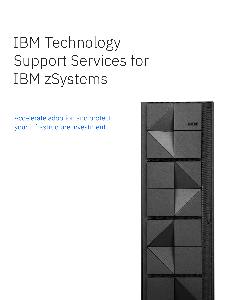

# IBM Technology Support Services for IBM zSystems

Accelerate adoption and protect your infrastructure investment

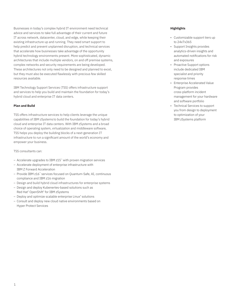Businesses in today's complex hybrid IT environment need technical advice and services to take full advantage of their current and future IT across network, datacenter, cloud, and edge, while keeping their existing infrastructure up and running. They need smart support to help predict and prevent unplanned disruption, and technical services that accelerate how businesses take advantage of the opportunity hybrid technology environments present. More sophisticated, dynamic architectures that include multiple vendors, on and off premise systems, complex networks and security requirements are being developed. These architectures not only need to be designed and planned to excel, but they must also be executed flawlessly with precious few skilled resources available.

IBM Technology Support Services (TSS) offers infrastructure support and services to help you build and maintain the foundation for today's hybrid cloud and enterprise IT data centers.

# **Plan and Build**

TSS offers infrastructure services to help clients leverage the unique capabilities of IBM zSystems to build the foundation for today's hybrid cloud and enterprise IT data centers. With IBM zSystems and a broad choice of operating system, virtualization and middleware software, TSS helps you deploy the building blocks of a next-generation IT infrastructure to run a significant amount of the world's economy and empower your business.

TSS consultants can:

- Accelerate upgrades to IBM z15™ with proven migration services
- Accelerate deployment of enterprise infrastructure with IBM Z Forward Acceleration
- Provide IBM z16™ services focused on Quantum-Safe, AI, continuous compliance and IBM z16 migration
- Design and build hybrid cloud infrastructures for enterprise systems
- Design and deploy Kubenertes-based solutions such as Red Hat® OpenShift® for IBM zSystems
- Deploy and optimize scalable enterprise Linux® solutions
- Consult and deploy new cloud native environments based on Hyper Protect Services

# **Highlights**

- Customizable support tiers up to 24x7x365
- Support Insights provides analytics-driven insights and automated notifications for risk and exposures
- Proactive Support options include dedicated IBM specialist and priority response times
- Enterprise Accelerated Value Program provides cross-platform incident management for your hardware and software portfolio
- Technical Services to support you from design to deployment to optimization of your IBM zSystems platform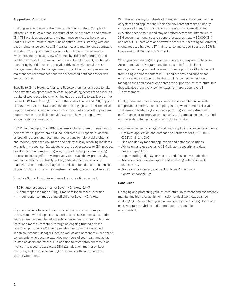#### **Support and Optimize**

Building an effective infrastructure is only the first step. Complex IT infrastructure takes a broad spectrum of skills to maintain and optimize. IBM TSS provides support and maintenance services to help ensure that our clients' infrastructure runs at optimal levels, starting with our base maintenance services. IBM warranties and maintenance contracts include IBM Support Insights, a security-rich cloud-based service which provides a holistic view of clients' hybrid IT infrastructure and can help improve IT uptime and address vulnerabilities. By continually monitoring hybrid IT assets, analytics-driven insights provide asset management, lifecycle management, support trends, and preventive maintenance recommendations with automated notifications for risk and exposures.

Specific to IBM zSystems, Alert and Resolve then makes it easy to take the next step on appropriate fix data, by providing access to ServiceLink, a suite of web-based tools, which includes the ability to easily order the desired IBM fixes. Moving further up the scale of value and ROI, Support Line (SoftwareXcel in US) opens the door to engage with IBM Technical Support Engineers, who not only have critical skills to assist in problem determination but will also provide Q&A and how to support, with 2-hour response times, 9x5.

IBM Proactive Support for IBM zSystems includes premium services for personalized support from a skilled, dedicated IBM specialist as well as providing alerts and recommended actions to help avoid problems and reduce unplanned downtime and risk by quickly resolving incidents with priority response. Global delivery and easier access to IBM product development and engineering labs, further fuel the problem-solving process to help significantly improve system availability, productivity, and recoverability. Our highly skilled, dedicated technical account managers use proprietary diagnostic tools and function as an extension of your IT staff to lower your investment in in-house technical support.

Proactive Support includes enhanced response times as well.

- 30 Minute response times for Severity 1 tickets, 24x7
- 2-hour response times during Prime shift for all other Severities
- 4-hour response times during off shift, for Severity 2 tickets

If you are looking to accelerate the business outcomes from your IBM zSystem with deep expertise, IBM Expertise Connect subscription services are designed to help clients achieve their business outcomes faster and more successfully through an ongoing trusted advisor relationship. Expertise Connect provides clients with an assigned Technical Account Manager (TAM) as well as one or more of experienced consultants, who become extended members of your team and act as trusted advisors and mentors. In addition to faster problem resolution, they can help you to accelerate IBM z16 adoption, mentor on best practices, and provide consulting on optimizing the automation of your IT Operations.

With the increasing complexity of IT environments, the sheer volume of systems and applications within the environment makes it nearly impossible for any IT organization to maintain in-house skills and expertise needed to run and stay optimized across the infrastructure. IBM covers maintenance and support for approximately 30,000 IBM and other OEM hardware and software products. According to Forrester, clients reduced hardware IT maintenance and support costs by 30% by leveraging IBM MultiVendor Support.

When you need managed support across your enterprise, Enterprise Accelerated Value Program provides cross-platform incident management for your hardware and software portfolio. Clients benefit from a single point of contact in IBM and are provided support for enterprise-wide account orchestration. That contact will not only manage cases and escalations across the supported infrastructure, but they will also proactively look for ways to improve your overall IT environment.

Finally, there are times when you need those deep technical skills and proven expertise. For example, you may want to modernize your zSystems applications, go deep on optimizing your infrastructure for performance, or to improve your security and compliance posture. Find out more about technical services to do things like:

- Optimize resiliency for z/OS® and Linux applications and environments
- Optimize application and database performance for z/OS, Linux, CICS®, IMS™ and Db2®
- Plan and deploy modern application and database solutions
- Advise on, and use exclusive IBM zSystems security and data privacy capabilities
- Deploy cutting-edge Cyber Security and Resiliency capabilities
- Advise on pervasive encryption and achieving enterprise-wide data security
- Advise on data privacy and deploy Hyper Protect Data Controller capabilities

### **Conclusion**

Managing and protecting your infrastructure investment and consistently maintaining high availability for mission-critical workloads can be challenging. TSS can help you plan and deploy the building blocks of a next-generation hybrid cloud IT architecture to enable any possibility.